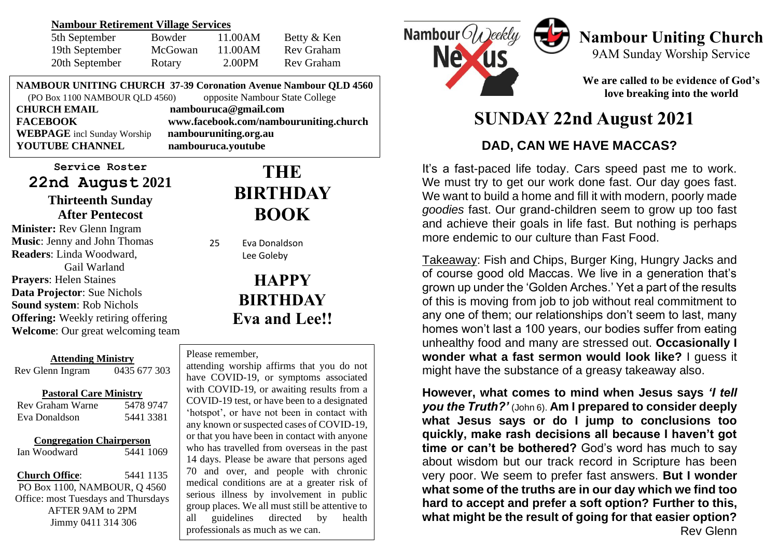#### **Nambour Retirement Village Services**

| 5th September  | Bowder  | 11.00AM | Betty & Ken |
|----------------|---------|---------|-------------|
| 19th September | McGowan | 11.00AM | Rev Graham  |
| 20th September | Rotary  | 2.00PM  | Rev Graham  |

**NAMBOUR UNITING CHURCH 37-39 Coronation Avenue Nambour QLD 4560** (PO Box 1100 NAMBOUR QLD 4560) opposite Nambour State College

**CHURCH EMAIL nambouruca@gmail.com WEBPAGE** incl Sunday Worship **nambouruniting.org.au YOUTUBE CHANNEL nambouruca.youtube**

**FACEBOOK www.facebook.com/nambouruniting.church**

### **Service Roster 22nd August 2021**

### **Thirteenth Sunday After Pentecost**

**Minister:** Rev Glenn Ingram **Music**: Jenny and John Thomas **Readers**: Linda Woodward, Gail Warland **Prayers**: Helen Staines **Data Projector**: Sue Nichols **Sound system**: Rob Nichols **Offering:** Weekly retiring offering **Welcome**: Our great welcoming team

**Attending Ministry**<br>nn Ingram (1435) 677 303 Rev Glenn Ingram **Pastoral Care Ministry** Rev Graham Warne 5478 9747

| Rev Graham Warne | 54789747  |
|------------------|-----------|
| Eva Donaldson    | 5441 3381 |

#### **Congregation Chairperson**

Ian Woodward 5441 1069

**Church Office**: 5441 1135 PO Box 1100, NAMBOUR, Q 4560 Office: most Tuesdays and Thursdays AFTER 9AM to 2PM Jimmy 0411 314 306

## **THE BIRTHDAY BOOK**

25 Eva Donaldson Lee Goleby

# **HAPPY BIRTHDAY Eva and Lee!!**

#### Please remember,

**TO TO TO TACKY AND**  involvement in public serious illness by involvement in public group places. We all must still be attentive to<br>all quidelines directed by health attending worship affirms that you do not have COVID-19, or symptoms associated with COVID-19, or awaiting results from a COVID-19 test, or have been to a designated 'hotspot', or have not been in contact with any known or suspected cases of COVID-19, or that you have been in contact with anyone who has travelled from overseas in the past 14 days. Please be aware that persons aged 70 and over, and people with chronic medical conditions are at a greater risk of all guidelines directed by health professionals as much as we can.



## **Nambour Uniting Church** 9AM Sunday Worship Service

**We are called to be evidence of God's love breaking into the world**

# **SUNDAY 22nd August 2021**

## **DAD, CAN WE HAVE MACCAS?**

It's a fast-paced life today. Cars speed past me to work. We must try to get our work done fast. Our day goes fast. We want to build a home and fill it with modern, poorly made *goodies* fast. Our grand-children seem to grow up too fast and achieve their goals in life fast. But nothing is perhaps more endemic to our culture than Fast Food.

Takeaway: Fish and Chips, Burger King, Hungry Jacks and of course good old Maccas. We live in a generation that's grown up under the 'Golden Arches.' Yet a part of the results of this is moving from job to job without real commitment to any one of them; our relationships don't seem to last, many homes won't last a 100 years, our bodies suffer from eating unhealthy food and many are stressed out. **Occasionally I wonder what a fast sermon would look like?** I guess it might have the substance of a greasy takeaway also.

**However, what comes to mind when Jesus says** *'I tell you the Truth?'* (John 6). **Am I prepared to consider deeply what Jesus says or do I jump to conclusions too quickly, make rash decisions all because I haven't got time or can't be bothered?** God's word has much to say about wisdom but our track record in Scripture has been very poor. We seem to prefer fast answers. **But I wonder what some of the truths are in our day which we find too hard to accept and prefer a soft option? Further to this, what might be the result of going for that easier option?** Rev Glenn